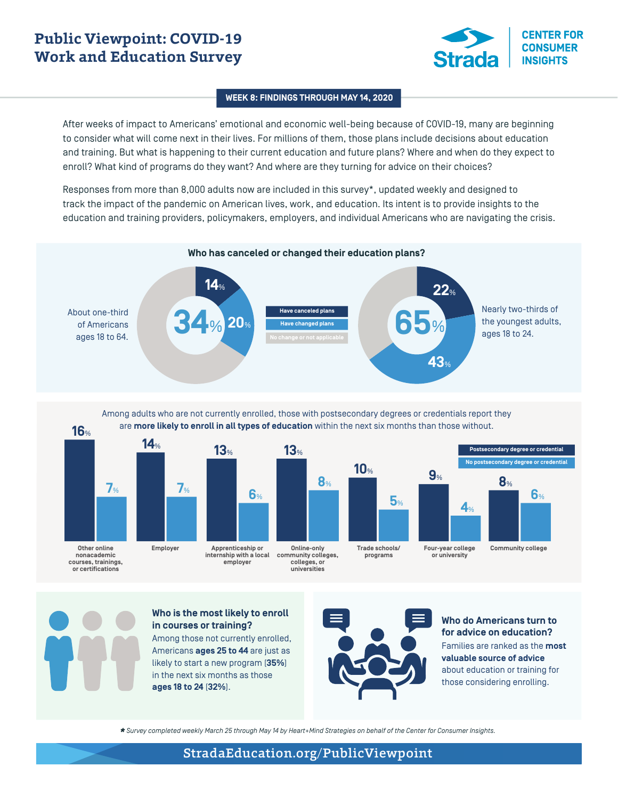# **Public Viewpoint: COVID-19 Work and Education Survey**



## **WEEK 8: FINDINGS THROUGH MAY 14, 2020**

After weeks of impact to Americans' emotional and economic well-being because of COVID-19, many are beginning to consider what will come next in their lives. For millions of them, those plans include decisions about education and training. But what is happening to their current education and future plans? Where and when do they expect to enroll? What kind of programs do they want? And where are they turning for advice on their choices?

Responses from more than 8,000 adults now are included in this survey\*, updated weekly and designed to track the impact of the pandemic on American lives, work, and education. Its intent is to provide insights to the education and training providers, policymakers, employers, and individual Americans who are navigating the crisis.



### Among adults who are not currently enrolled, those with postsecondary degrees or credentials report they are **more likely to enroll in all types of education** within the next six months than those without.





**Other online nonacademic courses, trainings, or certifications** 

**Apprenticeship or internship with a local employer community colleges, colleges, or** 



**universities**

**Trade schools/ programs**



**Four-year college or university**

**Postsecondary degree or credential No postsecondary degree or credential**



#### **Who is the most likely to enroll in courses or training?**

Among those not currently enrolled, Americans **ages 25 to 44** are just as likely to start a new program (**35%**) in the next six months as those **ages 18 to 24** (**32%**).



## **Who do Americans turn to for advice on education?** Families are ranked as the **most valuable source of advice** about education or training for those considering enrolling.

*\* Survey completed weekly March 25 through May 14 by Heart+Mind Strategies on behalf of the Center for Consumer Insights.*

## StradaEducation.org/PublicViewpoint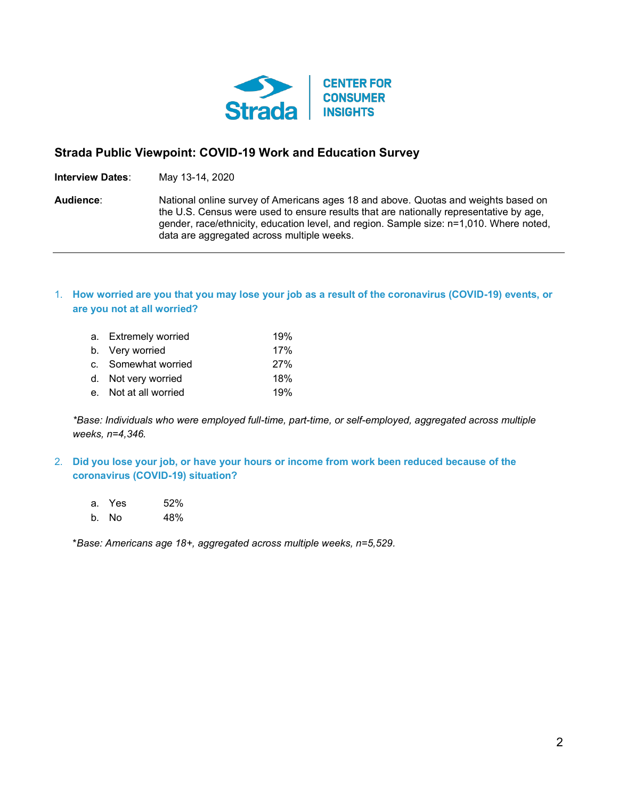

## **Strada Public Viewpoint: COVID-19 Work and Education Survey**

**Interview Dates**: May 13-14, 2020

**Audience**: National online survey of Americans ages 18 and above. Quotas and weights based on the U.S. Census were used to ensure results that are nationally representative by age, gender, race/ethnicity, education level, and region. Sample size: n=1,010. Where noted, data are aggregated across multiple weeks.

## 1. **How worried are you that you may lose your job as a result of the coronavirus (COVID-19) events, or are you not at all worried?**

| a. Extremely worried  | 19%        |
|-----------------------|------------|
| b. Very worried       | 17%        |
| c. Somewhat worried   | <b>27%</b> |
| d. Not very worried   | 18%        |
| e. Not at all worried | 19%        |

*\*Base: Individuals who were employed full-time, part-time, or self-employed, aggregated across multiple weeks, n=4,346.*

2. **Did you lose your job, or have your hours or income from work been reduced because of the coronavirus (COVID-19) situation?** 

a. Yes 52% b. No 48%

\**Base: Americans age 18+, aggregated across multiple weeks, n=5,529.*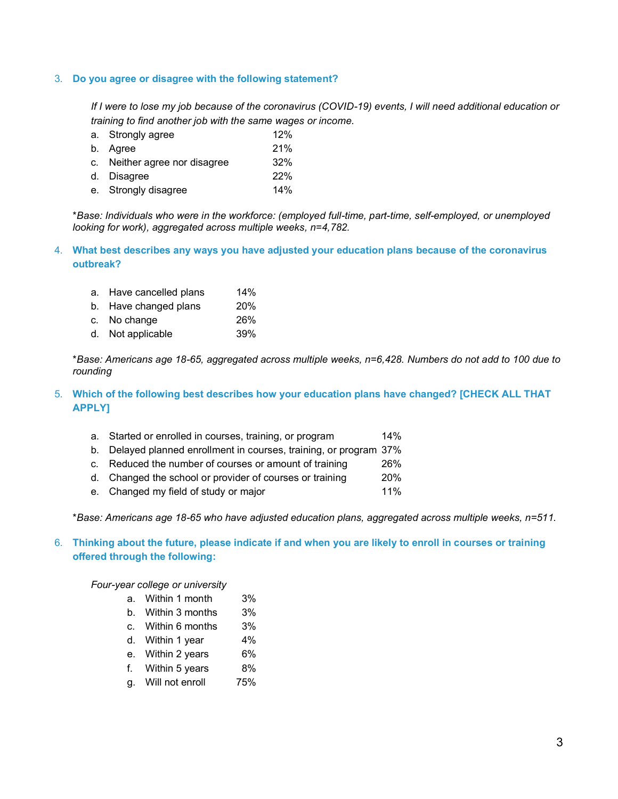## 3. **Do you agree or disagree with the following statement?**

*If I were to lose my job because of the coronavirus (COVID-19) events, I will need additional education or training to find another job with the same wages or income.*

a. Strongly agree 12% b. Agree 21% c. Neither agree nor disagree 32% d. Disagree 22% e. Strongly disagree 14%

\**Base: Individuals who were in the workforce: (employed full-time, part-time, self-employed, or unemployed looking for work), aggregated across multiple weeks, n=4,782.*

- 4. **What best describes any ways you have adjusted your education plans because of the coronavirus outbreak?**
	- a. Have cancelled plans 14%
	- b. Have changed plans 20%
	- c. No change 26%
	- d. Not applicable 39%

\**Base: Americans age 18-65, aggregated across multiple weeks, n=6,428. Numbers do not add to 100 due to rounding*

- 5. **Which of the following best describes how your education plans have changed? [CHECK ALL THAT APPLY]**
	- a. Started or enrolled in courses, training, or program 14%
	- b. Delayed planned enrollment in courses, training, or program 37%
	- c. Reduced the number of courses or amount of training 26%
	- d. Changed the school or provider of courses or training 20%
	- e. Changed my field of study or major 11%

\**Base: Americans age 18-65 who have adjusted education plans, aggregated across multiple weeks, n=511.*

6. **Thinking about the future, please indicate if and when you are likely to enroll in courses or training offered through the following:** 

*Four-year college or university*

- a. Within 1 month 3%
- b. Within 3 months 3%
- c. Within 6 months 3%
- d. Within 1 year 4%
- e. Within 2 years 6%
- f. Within 5 years 8%
- g. Will not enroll 75%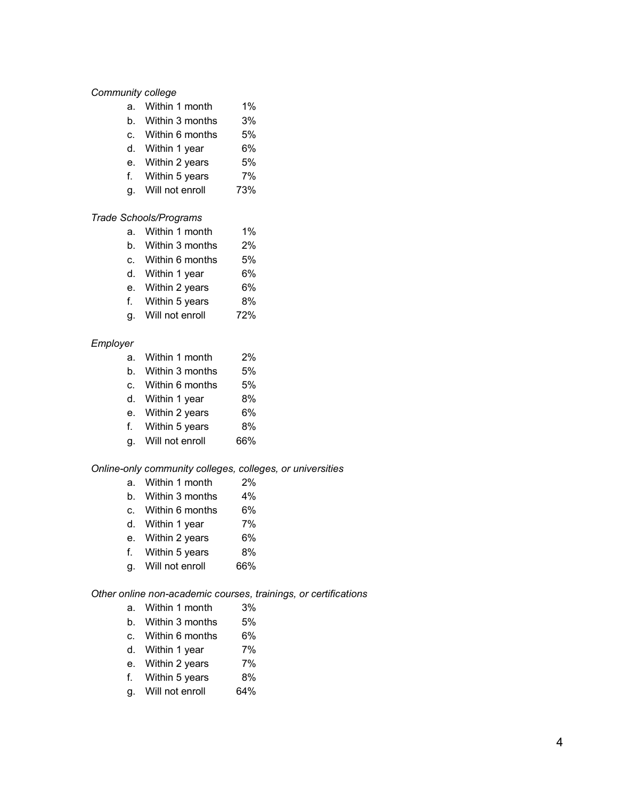## *Community college*

- a. Within 1 month 1%
- b. Within 3 months 3%
- c. Within 6 months 5%
- d. Within 1 year 6%
- e. Within 2 years 5%
- f. Within 5 years 7%
- g. Will not enroll 73%

## *Trade Schools/Programs*

- a. Within 1 month 1%
- b. Within 3 months 2%
- c. Within 6 months 5%
- d. Within 1 year 6%
- e. Within 2 years 6%
- f. Within 5 years 8%
- g. Will not enroll 72%

### *Employer*

- a. Within 1 month 2%
- b. Within 3 months 5%
- c. Within 6 months 5%
- d. Within 1 year 8%
- e. Within 2 years 6%
- f. Within 5 years 8%
- g. Will not enroll 66%

#### *Online-only community colleges, colleges, or universities*

- a. Within 1 month 2%
- b. Within 3 months 4%
- c. Within 6 months 6%
- d. Within 1 year 7%
- e. Within 2 years 6%
- f. Within 5 years 8%
- g. Will not enroll 66%

## *Other online non-academic courses, trainings, or certifications*

- a. Within 1 month 3%
- b. Within 3 months 5%
- c. Within 6 months 6%
- d. Within 1 year 7%
- e. Within 2 years 7%
- f. Within 5 years 8%
- g. Will not enroll 64%